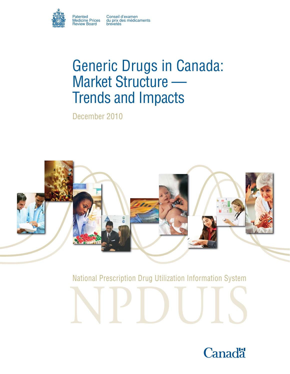

Patented Conseil d'examen Medicine Prices du prix des médicaments

# Generic Drugs in Canada: Market Structure — Trends and Impacts

December 2010



National Prescription Drug Utilization Information System

NPDUIS

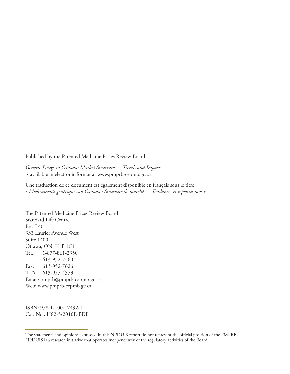Published by the Patented Medicine Prices Review Board

*Generic Drugs in Canada: Market Structure — Trends and Impacts* is available in electronic format at www.pmprb-cepmb.gc.ca

Une traduction de ce document est également disponible en français sous le titre : *« Médicaments génériques au Canada : Structure de marché — Tendances et répercussions ».*

The Patented Medicine Prices Review Board Standard Life Centre Box L40 333 Laurier Avenue West Suite 1400 Ottawa, ON K1P 1C1 Tel.: 1-877-861-2350 613-952-7360 Fax: 613-952-7626 TTY 613-957-4373 Email: pmprb@pmprb-cepmb.gc.ca Web: www.pmprb-cepmb.gc.ca

ISBN: 978-1-100-17492-1 Cat. No.: H82-5/2010E-PDF

The statements and opinions expressed in this NPDUIS report do not represent the official position of the PMPRB. NPDUIS is a research initiative that operates independently of the regulatory activities of the Board.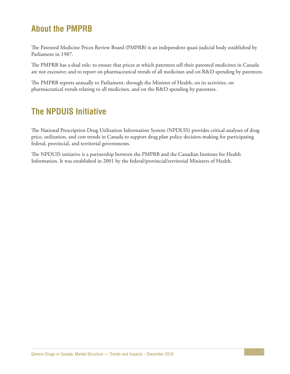# **About the PMPRB**

The Patented Medicine Prices Review Board (PMPRB) is an independent quasi-judicial body established by Parliament in 1987.

The PMPRB has a dual role: to ensure that prices at which patentees sell their patented medicines in Canada are not excessive; and to report on pharmaceutical trends of all medicines and on R&D spending by patentees.

The PMPRB reports annually to Parliament, through the Minister of Health, on its activities, on pharmaceutical trends relating to all medicines, and on the R&D spending by patentees.

# **The NPDUIS Initiative**

The National Prescription Drug Utilization Information System (NPDUIS) provides critical analyses of drug price, utilization, and cost trends in Canada to support drug plan policy decision-making for participating federal, provincial, and territorial governments.

The NPDUIS initiative is a partnership between the PMPRB and the Canadian Institute for Health Information. It was established in 2001 by the federal/provincial/territorial Ministers of Health.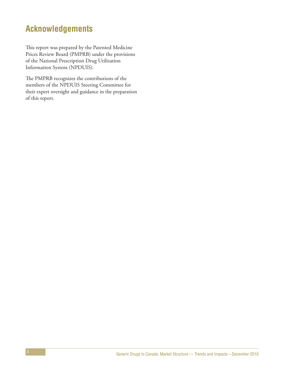# **Acknowledgements**

This report was prepared by the Patented Medicine Prices Review Board (PMPRB) under the provisions of the National Prescription Drug Utilization Information System (NPDUIS).

The PMPRB recognizes the contributions of the members of the NPDUIS Steering Committee for their expert oversight and guidance in the preparation of this report.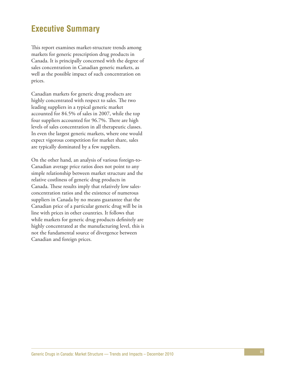## **Executive Summary**

This report examines market-structure trends among markets for generic prescription drug products in Canada. It is principally concerned with the degree of sales concentration in Canadian generic markets, as well as the possible impact of such concentration on prices.

Canadian markets for generic drug products are highly concentrated with respect to sales. The two leading suppliers in a typical generic market accounted for 84.5% of sales in 2007, while the top four suppliers accounted for 96.7%. There are high levels of sales concentration in all therapeutic classes. In even the largest generic markets, where one would expect vigorous competition for market share, sales are typically dominated by a few suppliers.

On the other hand, an analysis of various foreign-to-Canadian average price ratios does not point to any simple relationship between market structure and the relative costliness of generic drug products in Canada. These results imply that relatively low salesconcentration ratios and the existence of numerous suppliers in Canada by no means guarantee that the Canadian price of a particular generic drug will be in line with prices in other countries. It follows that while markets for generic drug products definitely are highly concentrated at the manufacturing level, this is not the fundamental source of divergence between Canadian and foreign prices.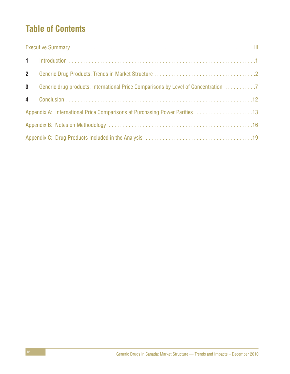# **Table of Contents**

| $2^{\circ}$     |                                                                                    |
|-----------------|------------------------------------------------------------------------------------|
| $3\phantom{.0}$ | Generic drug products: International Price Comparisons by Level of Concentration 7 |
|                 |                                                                                    |
|                 | Appendix A: International Price Comparisons at Purchasing Power Parities 13        |
|                 |                                                                                    |
|                 |                                                                                    |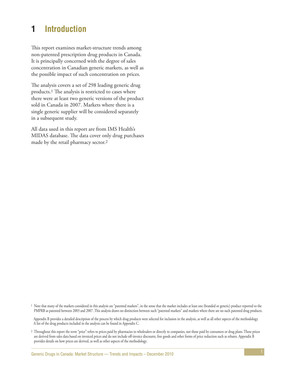# **1 Introduction**

This report examines market-structure trends among non-patented prescription drug products in Canada. It is principally concerned with the degree of sales concentration in Canadian generic markets, as well as the possible impact of such concentration on prices.

The analysis covers a set of 298 leading generic drug products.1 The analysis is restricted to cases where there were at least two generic versions of the product sold in Canada in 2007. Markets where there is a single generic supplier will be considered separately in a subsequent study.

All data used in this report are from IMS Health's MIDAS database. The data cover only drug purchases made by the retail pharmacy sector.2

<sup>1</sup> Note that many of the markets considered in this analysis are "patented markets", in the sense that the market includes at least one (branded or generic) product reported to the PMPRB as patented between 2003 and 2007. This analysis draws no distinction between such "patented markets" and markets where there are no such patented drug products.

Appendix B provides a detailed description of the process by which drug products were selected for inclusion in the analysis, as well as all other aspects of the methodology. A list of the drug products included in the analysis can be found in Appendix C.

<sup>2</sup> Throughout this report the term "price" refers to prices paid by pharmacies to wholesalers or directly to companies, not those paid by consumers or drug plans. These prices are derived from sales data based on invoiced prices and do not include off-invoice discounts, free goods and other forms of price reduction such as rebates. Appendix B provides details on how prices are derived, as well as other aspects of the methodology.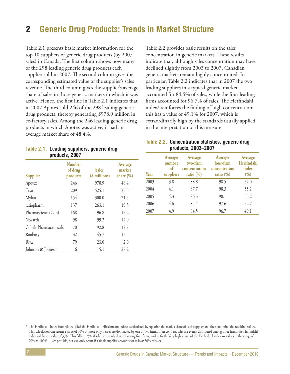# **2 Generic Drug Products: Trends in Market Structure**

Table 2.1 presents basic market information for the top 10 suppliers of generic drug products (by 2007 sales) in Canada. The first column shows how many of the 298 leading generic drug products each supplier sold in 2007. The second column gives the corresponding estimated value of the supplier's sales revenue. The third column gives the supplier's average share of sales in those generic markets in which it was active. Hence, the first line in Table 2.1 indicates that in 2007 Apotex sold 246 of the 298 leading generic drug products, thereby generating \$978.9 million in ex-factory sales. Among the 246 leading generic drug products in which Apotex was active, it had an average market share of 48.4%.

| Table 2.1. Leading suppliers, generic drug |  |
|--------------------------------------------|--|
| products, 2007                             |  |

| <b>Supplier</b>        | <b>Number</b><br>of drug<br>products | <b>Sales</b><br>(\$ millions) | Average<br>market<br>share $(\% )$ |
|------------------------|--------------------------------------|-------------------------------|------------------------------------|
| Apotex                 | 246                                  | 978.9                         | 48.4                               |
| Teva                   | 209                                  | 525.1                         | 25.3                               |
| Mylan                  | 154                                  | 300.0                         | 21.5                               |
| ratiopharm             | 137                                  | 263.1                         | 19.3                               |
| Pharmascience(Cdn)     | 168                                  | 196.8                         | 17.2                               |
| <b>Novartis</b>        | 98                                   | 99.2                          | 12.0                               |
| Cobalt Pharmaceuticals | 70                                   | 92.8                          | 12.7                               |
| Ranbaxy                | 32                                   | 45.7                          | 15.5                               |
| Riva                   | 79                                   | 23.0                          | 2.0                                |
| Johnson & Johnson      | 6                                    | 15.1                          | 27.2                               |

Table 2.2 provides basic results on the sales concentration in generic markets. These results indicate that, although sales concentration may have declined slightly from 2003 to 2007, Canadian generic markets remain highly concentrated. In particular, Table 2.2 indicates that in 2007 the two leading suppliers in a typical generic market accounted for 84.5% of sales, while the four leading firms accounted for 96.7% of sales. The Herfindahl index3 reinforces the finding of high concentration: this has a value of 49.1% for 2007, which is extraordinarily high by the standards usually applied in the interpretation of this measure.

| Table 2.2. Concentration statistics, generic drug |  |
|---------------------------------------------------|--|
| products, 2003-2007                               |  |

| Year | Average<br>number<br>of<br>suppliers | Average<br>two-firm<br>concentration<br>ratio $(\% )$ | Average<br>four-firm<br>concentration<br>ratio $(\% )$ | Average<br>Herfindahl<br>index<br>(%) |
|------|--------------------------------------|-------------------------------------------------------|--------------------------------------------------------|---------------------------------------|
| 2003 | 3.8                                  | 88.8                                                  | 98.5                                                   | 57.0                                  |
| 2004 | 4.1                                  | 87.7                                                  | 98.3                                                   | 55.2                                  |
| 2005 | 4.3                                  | 86.3                                                  | 98.1                                                   | 53.2                                  |
| 2006 | 4.6                                  | 85.4                                                  | 97.6                                                   | 52.7                                  |
| 2007 | 4.9                                  | 84.5                                                  | 96.7                                                   | 49.1                                  |

<sup>3</sup> The Herfindahl index (sometimes called the Herfindahl-Hirschmann index) is calculated by squaring the market share of each supplier and then summing the resulting values. This calculation can return a value of 50% or more only if sales are dominated by one or two firms. If, in contrast, sales are evenly distributed among three firms, the Herfindahl index will have a value of 33%. This falls to 25% if sales are evenly divided among four firms, and so forth. Very high values of the Herfindahl index — values in the range of 70% to 100% — are possible, but can only occur if a single supplier accounts for at least 80% of sales.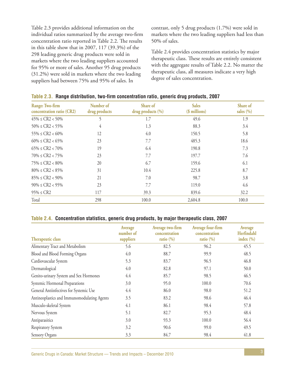Table 2.3 provides additional information on the individual ratios summarized by the average two-firm concentration ratio reported in Table 2.2. The results in this table show that in 2007, 117 (39.3%) of the 298 leading generic drug products were sold in markets where the two leading suppliers accounted for 95% or more of sales. Another 95 drug products (31.2%) were sold in markets where the two leading suppliers had between 75% and 95% of sales. In

contrast, only 5 drug products (1.7%) were sold in markets where the two leading suppliers had less than 50% of sales.

Table 2.4 provides concentration statistics by major therapeutic class. These results are entirely consistent with the aggregate results of Table 2.2. No matter the therapeutic class, all measures indicate a very high degree of sales concentration.

| Range: Two-firm<br>concentration ratio (CR2) | Number of<br>drug products | Share of<br>drug products (%) | <b>Sales</b><br>(\$ millions) | Share of<br>sales $(\% )$ |
|----------------------------------------------|----------------------------|-------------------------------|-------------------------------|---------------------------|
| $45\% \leq CR2 < 50\%$                       |                            | 1.7                           | 49.6                          | 1.9                       |
| $50\% \leq CR2 < 55\%$                       | 4                          | 1.3                           | 88.3                          | 3.4                       |
| $55\% \leq CR2 < 60\%$                       | 12                         | 4.0                           | 150.5                         | 5.8                       |
| $60\% \leq CR2 < 65\%$                       | 23                         | 7.7                           | 485.3                         | 18.6                      |
| $65\% \leq CR2 < 70\%$                       | 19                         | 6.4                           | 190.8                         | 7.3                       |
| $70\% \leq CR2 < 75\%$                       | 23                         | 7.7                           | 197.7                         | 7.6                       |
| $75\% \le CR2 < 80\%$                        | 20                         | 6.7                           | 159.6                         | 6.1                       |
| $80\% \leq CR2 < 85\%$                       | 31                         | 10.4                          | 225.8                         | 8.7                       |
| $85\% \le CR2 < 90\%$                        | 21                         | 7.0                           | 98.7                          | 3.8                       |
| $90\% \leq CR2 < 95\%$                       | 23                         | 7.7                           | 119.0                         | 4.6                       |
| $95\% \le CR2$                               | 117                        | 39.3                          | 839.6                         | 32.2                      |
| Total                                        | 298                        | 100.0                         | 2,604.8                       | 100.0                     |

#### **Table 2.3. Range distribution, two-firm concentration ratio, generic drug products, 2007**

#### **Table 2.4. Concentration statistics, generic drug products, by major therapeutic class, 2007**

|                                             | Average<br>number of | Average two-firm<br>concentration | Average four-firm<br>concentration | Average<br>Herfindahl |
|---------------------------------------------|----------------------|-----------------------------------|------------------------------------|-----------------------|
| Therapeutic class                           | suppliers            | ratio $(\% )$                     | ratio $(\% )$                      | index $(\% )$         |
| Alimentary Tract and Metabolism             | 5.6                  | 82.5                              | 96.2                               | 45.5                  |
| Blood and Blood Forming Organs              | 4.0                  | 88.7                              | 99.9                               | 48.5                  |
| Cardiovascular System                       | 5.3                  | 83.7                              | 96.5                               | 46.8                  |
| Dermatological                              | 4.0                  | 82.8                              | 97.1                               | 50.0                  |
| Genito-urinary System and Sex Hormones      | 4.4                  | 85.7                              | 98.5                               | 46.5                  |
| Systemic Hormonal Preparations              | 3.0                  | 95.0                              | 100.0                              | 70.6                  |
| General Antiinfectives for Systemic Use     | 4.4                  | 86.0                              | 98.0                               | 51.2                  |
| Antineoplastics and Immunomodulating Agents | 3.5                  | 83.2                              | 98.6                               | 46.4                  |
| Musculo-skeletal System                     | 4.1                  | 86.1                              | 98.4                               | 57.8                  |
| Nervous System                              | 5.1                  | 82.7                              | 95.3                               | 48.4                  |
| Antiparasitics                              | 3.0                  | 93.3                              | 100.0                              | 56.4                  |
| Respiratory System                          | 3.2                  | 90.6                              | 99.0                               | 49.5                  |
| Sensory Organs                              | 3.3                  | 84.7                              | 98.4                               | 41.8                  |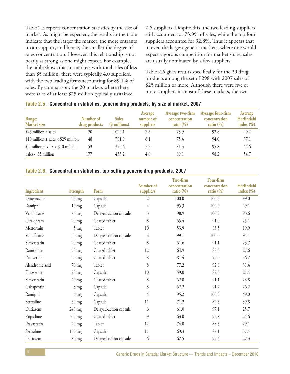Table 2.5 reports concentration statistics by the size of market. As might be expected, the results in the table indicate that the larger the market, the more entrants it can support, and hence, the smaller the degree of sales concentration. However, this relationship is not nearly as strong as one might expect. For example, the table shows that in markets with total sales of less than \$5 million, there were typically 4.0 suppliers, with the two leading firms accounting for 89.1% of sales. By comparison, the 20 markets where there were sales of at least \$25 million typically sustained

7.6 suppliers. Despite this, the two leading suppliers still accounted for 73.9% of sales, while the top four suppliers accounted for 92.8%. Thus it appears that in even the largest generic markets, where one would expect vigorous competition for market share, sales are usually dominated by a few suppliers.

Table 2.6 gives results specifically for the 20 drug products among the set of 298 with 2007 sales of \$25 million or more. Although there were five or more suppliers in most of these markets, the two

| Range:<br>Market size                      | Number of<br>drug products | <b>Sales</b><br>(\$ millions) | Average<br>number of<br>suppliers | Average two-firm<br>concentration<br>ratio $(\% )$ | Average four-firm<br>concentration<br>ratio $(\% )$ | Average<br>Herfindahl<br>index $(\% )$ |
|--------------------------------------------|----------------------------|-------------------------------|-----------------------------------|----------------------------------------------------|-----------------------------------------------------|----------------------------------------|
| \$25 million $\leq$ sales                  | 20                         | 1,079.1                       | 7.6                               | 73.9                                               | 92.8                                                | 40.2                                   |
| \$10 million $\leq$ sales $<$ \$25 million | 48                         | 701.9                         | 6.1                               | 75.4                                               | 94.0                                                | 37.1                                   |
| \$5 million $\leq$ sales $<$ \$10 million  | 53                         | 390.6                         | 5.5                               | 81.3                                               | 95.8                                                | 44.6                                   |
| Sales < $$5$ million                       | 177                        | 433.2                         | 4.0                               | 89.1                                               | 98.2                                                | 54.7                                   |

#### **Table 2.5. Concentration statistics, generic drug products, by size of market, 2007**

#### **Table 2.6. Concentration statistics, top-selling generic drug products, 2007**

|                 |                  |                        |                        | Two-firm                      | Four-firm                      |                             |
|-----------------|------------------|------------------------|------------------------|-------------------------------|--------------------------------|-----------------------------|
| Ingredient      | Strength         | Form                   | Number of<br>suppliers | concentration<br>ratio $(\%)$ | concentration<br>ratio $(\% )$ | Herfindahl<br>index $(\% )$ |
| Omeprazole      | $20$ mg          | Capsule                | 2                      | 100.0                         | 100.0                          | 99.0                        |
| Ramipril        | $10 \text{ mg}$  | Capsule                | $\overline{4}$         | 95.3                          | 100.0                          | 49.1                        |
| Venlafaxine     | 75 mg            | Delayed-action capsule | $\mathfrak{Z}$         | 98.9                          | 100.0                          | 93.6                        |
| Citalopram      | $20 \text{ mg}$  | Coated tablet          | 8                      | 65.4                          | 91.0                           | 25.1                        |
| Metformin       | $5 \text{ mg}$   | Tablet                 | 10                     | 53.9                          | 83.5                           | 19.9                        |
| Venlafaxine     | $50$ mg          | Delayed-action capsule | $\mathfrak{Z}$         | 99.1                          | 100.0                          | 94.1                        |
| Simvastatin     | $20$ mg          | Coated tablet          | 8                      | 61.6                          | 91.1                           | 23.7                        |
| Ranitidine      | $50$ mg          | Coated tablet          | 12                     | 64.9                          | 88.3                           | 27.6                        |
| Paroxetine      | $20$ mg          | Coated tablet          | 8                      | 81.4                          | 95.0                           | 36.7                        |
| Alendronic acid | 70 mg            | Tablet                 | 8                      | 77.2                          | 92.8                           | 31.4                        |
| Fluoxetine      | $20$ mg          | Capsule                | 10                     | 59.0                          | 82.3                           | 21.4                        |
| Simvastatin     | $40$ mg          | Coated tablet          | 8                      | 62.0                          | 91.1                           | 23.8                        |
| Gabapentin      | $3 \text{ mg}$   | Capsule                | $8\,$                  | 62.2                          | 91.7                           | 26.2                        |
| Ramipril        | $5 \text{ mg}$   | Capsule                | $\overline{4}$         | 95.2                          | 100.0                          | 49.0                        |
| Sertraline      | $50$ mg          | Capsule                | 11                     | 71.2                          | 87.5                           | 39.8                        |
| Diltiazem       | 240 mg           | Delayed-action capsule | 6                      | 61.0                          | 97.1                           | 25.7                        |
| Zopiclone       | $7.5 \text{ mg}$ | Coated tablet          | 9                      | 63.0                          | 92.8                           | 24.6                        |
| Pravastatin     | $20$ mg          | Tablet                 | 12                     | 74.0                          | 88.5                           | 29.1                        |
| Sertraline      | $100$ mg         | Capsule                | 11                     | 69.3                          | 87.1                           | 37.4                        |
| Diltiazem       | 80 mg            | Delayed-action capsule | 6                      | 62.5                          | 95.6                           | 27.3                        |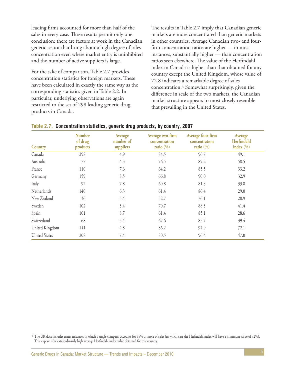leading firms accounted for more than half of the sales in every case. These results permit only one conclusion: there are factors at work in the Canadian generic sector that bring about a high degree of sales concentration even where market entry is uninhibited and the number of active suppliers is large.

For the sake of comparison, Table 2.7 provides concentration statistics for foreign markets. These have been calculated in exactly the same way as the corresponding statistics given in Table 2.2. In particular, underlying observations are again restricted to the set of 298 leading generic drug products in Canada.

The results in Table 2.7 imply that Canadian generic markets are more concentrated than generic markets in other countries. Average Canadian two- and fourfirm concentration ratios are higher — in most instances, substantially higher — than concentration ratios seen elsewhere. The value of the Herfindahl index in Canada is higher than that obtained for any country except the United Kingdom, whose value of 72.8 indicates a remarkable degree of sales concentration.4 Somewhat surprisingly, given the difference in scale of the two markets, the Canadian market structure appears to most closely resemble that prevailing in the United States.

| Country              | <b>Number</b><br>of drug<br>products | Average<br>number of<br>suppliers | Average two-firm<br>concentration<br>ratio $(\% )$ | Average four-firm<br>concentration<br>ratio $(\% )$ | Average<br>Herfindahl<br>index $(\% )$ |
|----------------------|--------------------------------------|-----------------------------------|----------------------------------------------------|-----------------------------------------------------|----------------------------------------|
| Canada               | 298                                  | 4.9                               | 84.5                                               | 96.7                                                | 49.1                                   |
| Australia            | 77                                   | 4.3                               | 76.5                                               | 89.2                                                | 58.5                                   |
| France               | 110                                  | 7.6                               | 64.2                                               | 85.5                                                | 33.2                                   |
| Germany              | 159                                  | 8.5                               | 66.8                                               | 90.0                                                | 32.9                                   |
| Italy                | 92                                   | 7.8                               | 60.8                                               | 81.3                                                | 33.8                                   |
| Netherlands          | 140                                  | 6.3                               | 61.4                                               | 86.4                                                | 29.0                                   |
| New Zealand          | 36                                   | 5.4                               | 52.7                                               | 76.1                                                | 28.9                                   |
| Sweden               | 102                                  | 5.4                               | 70.7                                               | 88.5                                                | 41.4                                   |
| Spain                | 101                                  | 8.7                               | 61.4                                               | 85.1                                                | 28.6                                   |
| Switzerland          | 68                                   | 5.4                               | 67.6                                               | 85.7                                                | 39.4                                   |
| United Kingdom       | 141                                  | 4.8                               | 86.2                                               | 94.9                                                | 72.1                                   |
| <b>United States</b> | 208                                  | 7.4                               | 80.5                                               | 96.4                                                | 47.0                                   |

|  | Table 2.7. Concentration statistics, generic drug products, by country, 2007 |  |  |  |
|--|------------------------------------------------------------------------------|--|--|--|
|--|------------------------------------------------------------------------------|--|--|--|

4 The UK data includes many instances in which a single company accounts for 85% or more of sales (in which case the Herfindahl index will have a minimum value of 72%). This explains the extraordinarily high average Herfindahl index value obtained for this country.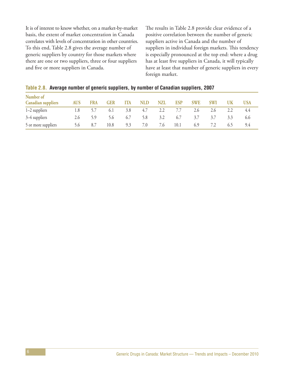It is of interest to know whether, on a market-by-market basis, the extent of market concentration in Canada correlates with levels of concentration in other countries. To this end, Table 2.8 gives the average number of generic suppliers by country for those markets where there are one or two suppliers, three or four suppliers and five or more suppliers in Canada.

The results in Table 2.8 provide clear evidence of a positive correlation between the number of generic suppliers active in Canada and the number of suppliers in individual foreign markets. This tendency is especially pronounced at the top end: where a drug has at least five suppliers in Canada, it will typically have at least that number of generic suppliers in every foreign market.

|  |  | Table 2.8. Average number of generic suppliers, by number of Canadian suppliers, 2007 |  |  |
|--|--|---------------------------------------------------------------------------------------|--|--|
|  |  |                                                                                       |  |  |

| Number of<br><b>Canadian suppliers</b> | <b>AUS</b> | <b>FRA</b> | <b>GER</b> | ITA | <b>NLD</b> | NZL | ESP  | <b>SWE</b> | <b>SWI</b> | <b>UK</b> | USA |
|----------------------------------------|------------|------------|------------|-----|------------|-----|------|------------|------------|-----------|-----|
| $1-2$ suppliers                        | 1.8        |            | 6.1        | 3.8 | 4.7        | 2.2 |      | 2.6        | 2.6        | 2.2       | 4.4 |
| 3–4 suppliers                          | 2.6        | 5.9        | 5.6        | 6.7 | 5.8        | 3.2 | 6.7  | 3.7        | 3.7        | 3.3       | 6.6 |
| 5 or more suppliers                    | 56         | 8.7        | 10.8       | 9.3 | 7.0        | 7.6 | 10.1 | 6.9        |            | (0, 5)    | 9.4 |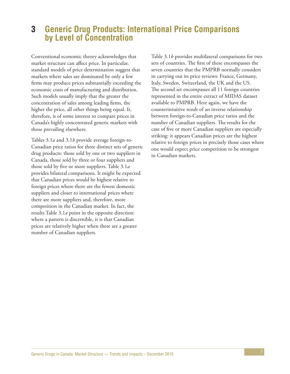## **3 Generic Drug Products: International Price Comparisons by Level of Concentration**

Conventional economic theory acknowledges that market structure can affect price. In particular, standard models of price determination suggest that markets where sales are dominated by only a few firms may produce prices substantially exceeding the economic costs of manufacturing and distribution. Such models usually imply that the greater the concentration of sales among leading firms, the higher the price, all other things being equal. It, therefore, is of some interest to compare prices in Canada's highly concentrated generic markets with those prevailing elsewhere.

Tables 3.1*a* and 3.1*b* provide average foreign-to-Canadian price ratios for three distinct sets of generic drug products: those sold by one or two suppliers in Canada, those sold by three or four suppliers and those sold by five or more suppliers. Table 3.1*a* provides bilateral comparisons. It might be expected that Canadian prices would be highest relative to foreign prices where there are the fewest domestic suppliers and closer to international prices where there are more suppliers and, therefore, more competition in the Canadian market. In fact, the results Table 3.1*a* point in the opposite direction: where a pattern is discernible, it is that Canadian prices are relatively higher when there are a greater number of Canadian suppliers.

Table 3.1*b* provides multilateral comparisons for two sets of countries. The first of these encompasses the seven countries that the PMPRB normally considers in carrying out its price reviews: France, Germany, Italy, Sweden, Switzerland, the UK and the US. The second set encompasses all 11 foreign countries represented in the entire extract of MIDAS dataset available to PMPRB. Here again, we have the counterintuitive result of an inverse relationship between foreign-to-Canadian price ratios and the number of Canadian suppliers. The results for the case of five or more Canadian suppliers are especially striking: it appears Canadian prices are the highest relative to foreign prices in precisely those cases where one would expect price competition to be strongest in Canadian markets.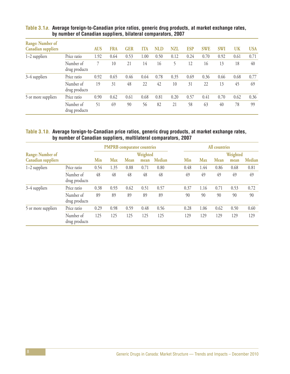| <b>Range: Number of</b><br><b>Canadian suppliers</b> |                            | <b>AUS</b> | <b>FRA</b> | <b>GER</b> | <b>ITA</b> | NLD  | <b>NZL</b> | <b>ESP</b> | <b>SWE</b> | <b>SWI</b> | UK   | <b>USA</b> |
|------------------------------------------------------|----------------------------|------------|------------|------------|------------|------|------------|------------|------------|------------|------|------------|
| $1-2$ suppliers                                      | Price ratio                | 1.92       | 0.64       | 0.53       | 00.1       | 0.50 | 0.12       | 0.24       | 0.70       | 0.92       | 0.61 | 0.71       |
|                                                      | Number of<br>drug products |            | 10         | 21         | 14         | 16   |            | 12         | 16         | 13         | 18   | 40         |
| 3–4 suppliers                                        | Price ratio                | 0.92       | 0.65       | 0.46       | 0.64       | 0.78 | 0.35       | 0.69       | 0.36       | 0.66       | 0.68 | 0.77       |
|                                                      | Number of<br>drug products | 19         | 31         | 48         | 22         | 42   | 10         | 31         | 22         | 13         | 45   | 69         |
| 5 or more suppliers                                  | Price ratio                | 0.90       | 0.62       | 0.61       | 0.68       | 0.81 | 0.20       | 0.57       | 0.41       | 0.70       | 0.62 | 0.36       |
|                                                      | Number of<br>drug products | 51         | 69         | 90         | 56         | 82   | 21         | 58         | 63         | 40         | 78   | 99         |

#### **Table 3.1a. Average foreign-to-Canadian price ratios, generic drug products, at market exchange rates, by number of Canadian suppliers, bilateral comparators, 2007**

#### **Table 3.1b. Average foreign-to-Canadian price ratios, generic drug products, at market exchange rates, by number of Canadian suppliers, multilateral comparators, 2007**

|                           |                            |      |            | <b>PMPRB</b> comparator countries |          |        | <b>All countries</b> |            |             |          |               |  |
|---------------------------|----------------------------|------|------------|-----------------------------------|----------|--------|----------------------|------------|-------------|----------|---------------|--|
| <b>Range: Number of</b>   |                            |      |            |                                   | Weighted |        |                      |            |             | Weighted |               |  |
| <b>Canadian suppliers</b> |                            | Min  | <b>Max</b> | <b>Mean</b>                       | mean     | Median | Min                  | <b>Max</b> | <b>Mean</b> | mean     | <b>Median</b> |  |
| 1-2 suppliers             | Price ratio                | 0.54 | 1.35       | 0.88                              | 0.71     | 0.80   | 0.48                 | 1.44       | 0.86        | 0.68     | 0.81          |  |
|                           | Number of<br>drug products | 48   | 48         | 48                                | 48       | 48     | 49                   | 49         | 49          | 49       | 49            |  |
| 3–4 suppliers             | Price ratio                | 0.38 | 0.93       | 0.62                              | 0.51     | 0.57   | 0.37                 | 1.16       | 0.71        | 0.53     | 0.72          |  |
|                           | Number of<br>drug products | 89   | 89         | 89                                | 89       | 89     | 90                   | 90         | 90          | 90       | 90            |  |
| 5 or more suppliers       | Price ratio                | 0.29 | 0.98       | 0.59                              | 0.48     | 0.56   | 0.28                 | 1.06       | 0.62        | 0.50     | 0.60          |  |
|                           | Number of<br>drug products | 125  | 125        | 125                               | 125      | 125    | 129                  | 129        | 129         | 129      | 129           |  |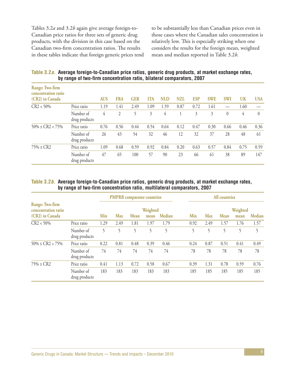Tables 3.2*a* and 3.2*b* again give average foreign-to-Canadian price ratios for three sets of generic drug products, with the division in this case based on the Canadian two-firm concentration ratios. The results in these tables indicate that foreign generic prices tend

to be substantially less than Canadian prices even in those cases where the Canadian sales concentration is relatively low. This is especially striking when one considers the results for the foreign mean, weighted mean and median reported in Table 3.2*b*.

**Table 3.2a. Average foreign-to-Canadian price ratios, generic drug products, at market exchange rates, by range of two-firm concentration ratio, bilateral comparators, 2007**

| Range: Two-firm<br>concentration ratio<br>(CR2) in Canada |                            | <b>AUS</b> | <b>FRA</b> | <b>GER</b> | ITA  | NLD  | NZL  | <b>ESP</b>     | <b>SWE</b> | <b>SWI</b> | UK   | <b>USA</b> |
|-----------------------------------------------------------|----------------------------|------------|------------|------------|------|------|------|----------------|------------|------------|------|------------|
| $CR2 < 50\%$                                              | Price ratio                | 1.19       | 1.41       | 2.49       | 1.09 | 1.59 | 0.87 | 0.72           | 1.61       |            | 1.60 |            |
|                                                           | Number of<br>drug products | 4          | 2          |            | 3    | 4    |      | $\mathfrak{Z}$ | 3          | $\theta$   | 4    | $\theta$   |
| $50\% \leq CR2 < 75\%$                                    | Price ratio                | 0.76       | 0.56       | 0.44       | 0.54 | 0.64 | 0.12 | 0.47           | 0.30       | 0.66       | 0.46 | 0.36       |
|                                                           | Number of<br>drug products | 26         | 43         | 54         | 32   | 46   | 12   | 32             | 37         | 28         | 48   | 61         |
| $75\% \le CR2$                                            | Price ratio                | 1.09       | 0.68       | 0.59       | 0.92 | 0.84 | 0.20 | 0.63           | 0.57       | 0.84       | 0.75 | 0.59       |
|                                                           | Number of<br>drug products | 47         | 65         | 100        | 57   | 90   | 23   | 66             | 61         | 38         | 89   | 147        |

#### **Table 3.2b. Average foreign-to-Canadian price ratios, generic drug products, at market exchange rates, by range of two-firm concentration ratio, multilateral comparators, 2007**

|                                        |                            |      |            | <b>PMPRB</b> comparator countries |          |               |      |      | <b>All countries</b> |          |               |
|----------------------------------------|----------------------------|------|------------|-----------------------------------|----------|---------------|------|------|----------------------|----------|---------------|
| Range: Two-firm<br>concentration ratio |                            |      |            |                                   | Weighted |               |      |      |                      | Weighted |               |
| (CR2) in Canada                        |                            | Min  | <b>Max</b> | <b>Mean</b>                       | mean     | <b>Median</b> | Min  | Max  | <b>Mean</b>          | mean     | <b>Median</b> |
| $CR2 < 50\%$                           | Price ratio                | 1.29 | 2.49       | 1.81                              | 1.97     | 1.79          | 0.92 | 2.49 | 1.57                 | 1.76     | 1.57          |
|                                        | Number of<br>drug products | 5    | 5          | 5                                 | 5        | 5             | 5    | 5    | 5                    | 5        | 5             |
| $50\% \leq CR2 < 75\%$                 | Price ratio                | 0.22 | 0.81       | 0.48                              | 0.39     | 0.46          | 0.24 | 0.87 | 0.51                 | 0.41     | 0.49          |
|                                        | Number of<br>drug products | 74   | 74         | 74                                | 74       | 74            | 78   | 78   | 78                   | 78       | 78            |
| $75\% \le CR2$                         | Price ratio                | 0.41 | 1.13       | 0.72                              | 0.58     | 0.67          | 0.39 | 1.31 | 0.78                 | 0.59     | 0.76          |
|                                        | Number of<br>drug products | 183  | 183        | 183                               | 183      | 183           | 185  | 185  | 185                  | 185      | 185           |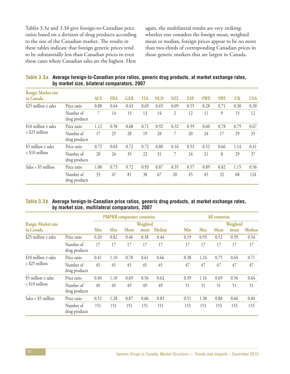Tables 3.3*a* and 3.3*b* give foreign-to-Canadian price ratios based on a division of drug products according to the size of the Canadian market. The results in these tables indicate that foreign generic prices tend to be substantially less than Canadian prices in even those cases where Canadian sales are the highest. Here

again, the multilateral results are very striking: whether one considers the foreign mean, weighted mean or median, foreign prices appear to be no more than two-thirds of corresponding Canadian prices in those generic markets that are largest in Canada.

| Table 3.3a. Average foreign-to-Canadian price ratios, generic drug products, at market exchange rates, |
|--------------------------------------------------------------------------------------------------------|
| by market size, bilateral comparators, 2007                                                            |

| <b>Range: Market size</b><br>in Canada |                            | <b>AUS</b> | <b>FRA</b> | <b>GER</b> | <b>ITA</b> | NLD  | <b>NZL</b>     | <b>ESP</b> | <b>SWE</b> | <b>SWI</b> | <b>UK</b> | <b>USA</b> |
|----------------------------------------|----------------------------|------------|------------|------------|------------|------|----------------|------------|------------|------------|-----------|------------|
| \$25 million $\leq$ sales              | Price ratio                | 0.88       | 0.64       | 0.43       | 0.69       | 0.65 | 0.09           | 0.55       | 0.28       | 0.71       | 0.30      | 0.30       |
|                                        | Number of<br>drug products | 7          | 14         | 15         | 13         | 14   | $\overline{2}$ | 12         | 11         | 9          | 15        | 12         |
| \$10 million $\leq$ sales              | Price ratio                | 1.12       | 0.58       | 0.68       | 0.71       | 0.92 | 0.32           | 0.59       | 0.60       | 0.78       | 0.79      | 0.67       |
| $\langle$ \$25 million                 | Number of<br>drug products | 17         | 25         | 28         | 19         | 28   | 7              | 20         | 24         | 17         | 29        | 35         |
| \$5 million $\leq$ sales               | Price ratio                | 0.72       | 0.63       | 0.72       | 0.72       | 0.80 | 0.16           | 0.53       | 0.52       | 0.66       | 1.14      | 0.41       |
| $\langle$ \$10 million                 | Number of<br>drug products | 20         | 24         | 35         | 22         | 31   | $\tau$         | 24         | 21         | 8          | 29        | 37         |
| Sales < $$5$ million                   | Price ratio                | 1.08       | 0.73       | 0.72       | 0.93       | 0.87 | 0.35           | 0.57       | 0.89       | 0.82       | 1.15      | 0.56       |
|                                        | Number of<br>drug products | 33         | 47         | 81         | 38         | 67   | 20             | 45         | 45         | 32         | 68        | 124        |

#### **Table 3.3b. Average foreign-to-Canadian price ratios, generic drug products, at market exchange rates, by market size, multilateral comparators, 2007**

|                           |                            |            |            | <b>PMPRB</b> comparator countries |          |               |      |            | <b>All countries</b> |          |               |
|---------------------------|----------------------------|------------|------------|-----------------------------------|----------|---------------|------|------------|----------------------|----------|---------------|
| <b>Range: Market size</b> |                            |            |            |                                   | Weighted |               |      |            |                      | Weighted |               |
| in Canada                 |                            | <b>Min</b> | <b>Max</b> | <b>Mean</b>                       | mean     | <b>Median</b> | Min  | <b>Max</b> | <b>Mean</b>          | mean     | <b>Median</b> |
| \$25 million $\leq$ sales | Price ratio                | 0.20       | 0.82       | 0.46                              | 0.38     | 0.44          | 0.19 | 0.93       | 0.52                 | 0.39     | 0.54          |
|                           | Number of<br>drug products | 17         | 17         | 17                                | 17       | 17            | 17   | 17         | 17                   | 17       | 17            |
| \$10 million $\leq$ sales | Price ratio                | 0.41       | 1.10       | 0.70                              | 0.61     | 0.66          | 0.38 | 1.24       | 0.75                 | 0.64     | 0.71          |
| $\langle$ \$25 million    | Number of<br>drug products | 45         | 45         | 45                                | 45       | 45            | 47   | 47         | 47                   | 47       | 47            |
| \$5 million $\leq$ sales  | Price ratio                | 0.40       | 1.10       | 0.69                              | 0.56     | 0.62          | 0.39 | 1.16       | 0.69                 | 0.56     | 0.64          |
| $<$ \$10 million          | Number of<br>drug products | 49         | 49         | 49                                | 49       | 49            | 51   | 51         | 51                   | 51       | 51            |
| Sales < $$5$ million      | Price ratio                | 0.52       | 1.28       | 0.87                              | 0.66     | 0.83          | 0.51 | 1.38       | 0.88                 | 0.66     | 0.84          |
|                           | Number of<br>drug products | 151        | 151        | 151                               | 151      | 151           | 153  | 153        | 153                  | 153      | 153           |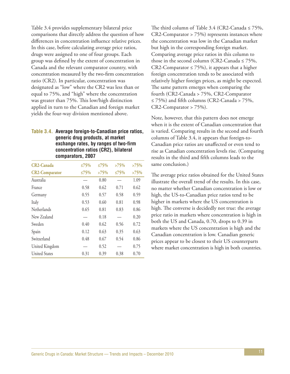Table 3.4 provides supplementary bilateral price comparisons that directly address the question of how differences in concentration influence relative prices. In this case, before calculating average price ratios, drugs were assigned to one of four groups. Each group was defined by the extent of concentration in Canada and the relevant comparator country, with concentration measured by the two-firm concentration ratio (CR2). In particular, concentration was designated as "low" where the CR2 was less than or equal to 75%, and "high" where the concentration was greater than 75%. This low/high distinction applied in turn to the Canadian and foreign market yields the four-way division mentioned above.

#### **Table 3.4. Average foreign-to-Canadian price ratios, generic drug products, at market exchange rates, by ranges of two-firm concentration ratios (CR2), bilateral comparators, 2007**

| <b>CR2-Canada</b>     | ≤75% | ≤75% | $>75\%$ | >75% |
|-----------------------|------|------|---------|------|
| <b>CR2-Comparator</b> | ≤75% | >75% | ≤75%    | >75% |
| Australia             |      | 0.80 |         | 1.09 |
| France                | 0.58 | 0.62 | 0.71    | 0.62 |
| Germany               | 0.55 | 0.57 | 0.58    | 0.59 |
| Italy                 | 0.53 | 0.60 | 0.81    | 0.98 |
| Netherlands           | 0.65 | 0.81 | 0.83    | 0.86 |
| New Zealand           |      | 0.18 |         | 0.20 |
| Sweden                | 0.40 | 0.62 | 0.56    | 0.72 |
| Spain                 | 0.12 | 0.63 | 0.35    | 0.63 |
| Switzerland           | 0.48 | 0.67 | 0.54    | 0.86 |
| United Kingdom        |      | 0.52 |         | 0.75 |
| <b>United States</b>  | 0.31 | 0.39 | 0.38    | 0.70 |

The third column of Table 3.4 (CR2-Canada  $\leq$  75%, CR2-Comparator > 75%) represents instances where the concentration was low in the Canadian market but high in the corresponding foreign market. Comparing average price ratios in this column to those in the second column (CR2-Canada  $\leq$  75%, CR2-Comparator  $\leq$  75%), it appears that a higher foreign concentration tends to be associated with relatively higher foreign prices, as might be expected. The same pattern emerges when comparing the fourth (CR2-Canada > 75%, CR2-Comparator ≤ 75%) and fifth columns (CR2-Canada > 75%, CR2-Comparator > 75%).

Note, however, that this pattern does not emerge when it is the extent of Canadian concentration that is varied. Comparing results in the second and fourth columns of Table 3.4, it appears that foreign-to-Canadian price ratios are unaffected or even tend to rise as Canadian concentration levels rise. (Comparing results in the third and fifth columns leads to the same conclusion.)

The average price ratios obtained for the United States illustrate the overall trend of the results. In this case, no matter whether Canadian concentration is low or high, the US-to-Canadian price ratios tend to be higher in markets where the US concentration is high. The converse is decidedly not true: the average price ratio in markets where concentration is high in both the US and Canada, 0.70, drops to 0.39 in markets where the US concentration is high and the Canadian concentration is low. Canadian generic prices appear to be closest to their US counterparts where market concentration is high in both countries.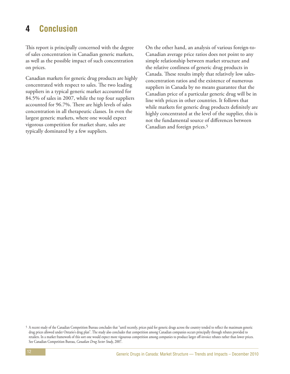# **4 Conclusion**

This report is principally concerned with the degree of sales concentration in Canadian generic markets, as well as the possible impact of such concentration on prices.

Canadian markets for generic drug products are highly concentrated with respect to sales. The two leading suppliers in a typical generic market accounted for 84.5% of sales in 2007, while the top four suppliers accounted for 96.7%. There are high levels of sales concentration in all therapeutic classes. In even the largest generic markets, where one would expect vigorous competition for market share, sales are typically dominated by a few suppliers.

On the other hand, an analysis of various foreign-to-Canadian average price ratios does not point to any simple relationship between market structure and the relative costliness of generic drug products in Canada. These results imply that relatively low salesconcentration ratios and the existence of numerous suppliers in Canada by no means guarantee that the Canadian price of a particular generic drug will be in line with prices in other countries. It follows that while markets for generic drug products definitely are highly concentrated at the level of the supplier, this is not the fundamental source of differences between Canadian and foreign prices.5

<sup>5</sup> A recent study of the Canadian Competition Bureau concludes that "until recently, prices paid for generic drugs across the country tended to reflect the maximum generic drug prices allowed under Ontario's drug plan". The study also concludes that competition among Canadian companies occurs principally through rebates provided to retailers. In a market framework of this sort one would expect more vigourous competition among companies to produce larger off-invoice rebates rather than lower prices. See Canadian Competition Bureau, *Canadian Drug Sector Study*, 2007.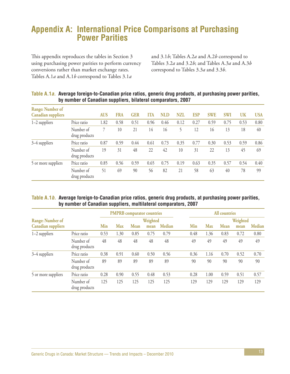# **Appendix A: International Price Comparisons at Purchasing Power Parities**

This appendix reproduces the tables in Section 3 using purchasing power parities to perform currency conversions rather than market exchange rates. Tables A.1*a* and A.1*b* correspond to Tables 3.1*a*

and 3.1*b*; Tables A.2*a* and A.2*b* correspond to Tables 3.2*a* and 3.2*b*; and Tables A.3*a* and A.3*b* correspond to Tables 3.3*a* and 3.3*b*.

| <b>Range: Number of</b><br><b>Canadian suppliers</b> |                            | <b>AUS</b> | <b>FRA</b> | <b>GER</b> | <b>ITA</b> | <b>NLD</b> | <b>NZL</b> | <b>ESP</b> | <b>SWE</b> | <b>SWI</b> | <b>UK</b> | <b>USA</b> |
|------------------------------------------------------|----------------------------|------------|------------|------------|------------|------------|------------|------------|------------|------------|-----------|------------|
| $1-2$ suppliers                                      | Price ratio                | 1.82       | 0.58       | 0.51       | 0.96       | 0.46       | 0.12       | 0.27       | 0.59       | 0.75       | 0.53      | 0.80       |
|                                                      | Number of<br>drug products |            | 10         | 21         | 14         | 16         | 5          | 12         | 16         | 13         | 18        | 40         |
| 3–4 suppliers                                        | Price ratio                | 0.87       | 0.59       | 0.44       | 0.61       | 0.73       | 0.35       | 0.77       | 0.30       | 0.53       | 0.59      | 0.86       |
|                                                      | Number of<br>drug products | 19         | 31         | 48         | 22         | 42         | 10         | 31         | 22         | 13         | 45        | 69         |
| 5 or more suppliers                                  | Price ratio                | 0.85       | 0.56       | 0.59       | 0.65       | 0.75       | 0.19       | 0.63       | 0.35       | 0.57       | 0.54      | 0.40       |
|                                                      | Number of<br>drug products | 51         | 69         | 90         | 56         | 82         | 21         | 58         | 63         | 40         | 78        | 99         |

#### **Table A.1a. Average foreign-to-Canadian price ratios, generic drug products, at purchasing power parities, by number of Canadian suppliers, bilateral comparators, 2007**

#### **Table A.1b. Average foreign-to-Canadian price ratios, generic drug products, at purchasing power parities, by number of Canadian suppliers, multilateral comparators, 2007**

|                           |                            |      |            | <b>PMPRB</b> comparator countries |          |        | All countries |            |      |          |        |  |
|---------------------------|----------------------------|------|------------|-----------------------------------|----------|--------|---------------|------------|------|----------|--------|--|
| <b>Range: Number of</b>   |                            |      |            |                                   | Weighted |        |               |            |      | Weighted |        |  |
| <b>Canadian suppliers</b> |                            | Min  | <b>Max</b> | <b>Mean</b>                       | mean     | Median | Min           | <b>Max</b> | Mean | mean     | Median |  |
| $1-2$ suppliers           | Price ratio                | 0.53 | 1.30       | 0.85                              | 0.75     | 0.79   | 0.48          | 1.36       | 0.83 | 0.72     | 0.80   |  |
|                           | Number of<br>drug products | 48   | 48         | 48                                | 48       | 48     | 49            | 49         | 49   | 49       | 49     |  |
| 3-4 suppliers             | Price ratio                | 0.38 | 0.91       | 0.60                              | 0.50     | 0.56   | 0.36          | 1.16       | 0.70 | 0.52     | 0.70   |  |
|                           | Number of<br>drug products | 89   | 89         | 89                                | 89       | 89     | 90            | 90         | 90   | 90       | 90     |  |
| 5 or more suppliers       | Price ratio                | 0.28 | 0.90       | 0.55                              | 0.48     | 0.53   | 0.28          | 1.00       | 0.59 | 0.51     | 0.57   |  |
|                           | Number of<br>drug products | 125  | 125        | 125                               | 125      | 125    | 129           | 129        | 129  | 129      | 129    |  |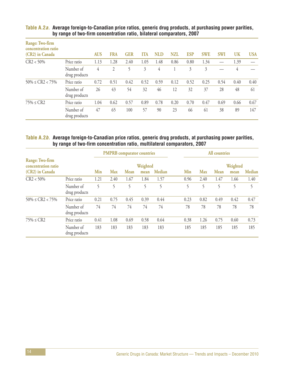| Range: Two-firm<br>concentration ratio<br>(CR2) in Canada |                            | <b>AUS</b> | <b>FRA</b>     | <b>GER</b> | <b>ITA</b> | <b>NLD</b> | NZL  | <b>ESP</b> | <b>SWE</b> | <b>SWI</b> | <b>UK</b> | <b>USA</b> |
|-----------------------------------------------------------|----------------------------|------------|----------------|------------|------------|------------|------|------------|------------|------------|-----------|------------|
| $CR2 < 50\%$                                              | Price ratio                | 1.13       | 1.28           | 2.40       | 1.05       | 1.48       | 0.86 | 0.80       | 1.34       |            | 1.39      |            |
|                                                           | Number of<br>drug products | 4          | $\overline{2}$ | 5          | 3          | 4          |      | 3          | 3          |            | 4         |            |
| $50\% \leq CR2 < 75\%$                                    | Price ratio                | 0.72       | 0.51           | 0.42       | 0.52       | 0.59       | 0.12 | 0.52       | 0.25       | 0.54       | 0.40      | 0.40       |
|                                                           | Number of<br>drug products | 26         | 43             | 54         | 32         | 46         | 12   | 32         | 37         | 28         | 48        | 61         |
| $75\% \le CR2$                                            | Price ratio                | 1.04       | 0.62           | 0.57       | 0.89       | 0.78       | 0.20 | 0.70       | 0.47       | 0.69       | 0.66      | 0.67       |
|                                                           | Number of<br>drug products | 47         | 65             | 100        | 57         | 90         | 23   | 66         | 61         | 38         | 89        | 147        |

#### **Table A.2a. Average foreign-to-Canadian price ratios, generic drug products, at purchasing power parities, by range of two-firm concentration ratio, bilateral comparators, 2007**

#### **Table A.2b. Average foreign-to-Canadian price ratios, generic drug products, at purchasing power parities, by range of two-firm concentration ratio, multilateral comparators, 2007**

|                                        |                            | <b>PMPRB</b> comparator countries |            |      |      |        | All countries |            |          |      |               |
|----------------------------------------|----------------------------|-----------------------------------|------------|------|------|--------|---------------|------------|----------|------|---------------|
| Range: Two-firm<br>concentration ratio |                            | Weighted                          |            |      |      |        |               |            | Weighted |      |               |
| (CR2) in Canada                        |                            | Min                               | <b>Max</b> | Mean | mean | Median | Min           | <b>Max</b> | Mean     | mean | <b>Median</b> |
| $CR2 < 50\%$                           | Price ratio                | 1.21                              | 2.40       | 1.67 | 1.84 | 1.57   | 0.96          | 2.40       | 1.47     | 1.66 | 1.40          |
|                                        | Number of<br>drug products | 5                                 | 5          |      | 5    | 5      | 5             | 5          | 5        | 5    | 5             |
| $50\% \leq CR2 < 75\%$                 | Price ratio                | 0.21                              | 0.75       | 0.45 | 0.39 | 0.44   | 0.23          | 0.82       | 0.49     | 0.42 | 0.47          |
|                                        | Number of<br>drug products | 74                                | 74         | 74   | 74   | 74     | 78            | 78         | 78       | 78   | 78            |
| $75\% \le CR2$                         | Price ratio                | 0.41                              | 1.08       | 0.69 | 0.58 | 0.64   | 0.38          | 1.26       | 0.75     | 0.60 | 0.73          |
|                                        | Number of<br>drug products | 183                               | 183        | 183  | 183  | 183    | 185           | 185        | 185      | 185  | 185           |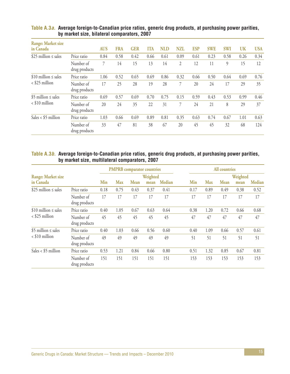| Range: Market size<br>in Canada |                            | <b>AUS</b> | <b>FRA</b> | <b>GER</b> | <b>ITA</b> | <b>NLD</b> | <b>NZL</b> | <b>ESP</b> | <b>SWE</b> | <b>SWI</b> | UK   | <b>USA</b> |
|---------------------------------|----------------------------|------------|------------|------------|------------|------------|------------|------------|------------|------------|------|------------|
| \$25 million $\leq$ sales       | Price ratio                | 0.84       | 0.58       | 0.42       | 0.66       | 0.61       | 0.09       | 0.61       | 0.23       | 0.58       | 0.26 | 0.34       |
|                                 | Number of<br>drug products | 7          | 14         | 15         | 13         | 14         | 2          | 12         | 11         | 9          | 15   | 12         |
| $$10$ million $\leq$ sales      | Price ratio                | 1.06       | 0.52       | 0.65       | 0.69       | 0.86       | 0.32       | 0.66       | 0.50       | 0.64       | 0.69 | 0.76       |
| $\langle$ \$25 million          | Number of<br>drug products | 17         | 25         | 28         | 19         | 28         |            | 20         | 24         | 17         | 29   | 35         |
| \$5 million $\leq$ sales        | Price ratio                | 0.69       | 0.57       | 0.69       | 0.70       | 0.75       | 0.15       | 0.59       | 0.43       | 0.53       | 0.99 | 0.46       |
| $<$ \$10 million                | Number of<br>drug products | 20         | 24         | 35         | 22         | 31         | 7          | 24         | 21         | 8          | 29   | 37         |
| Sales < $$5$ million            | Price ratio                | 1.03       | 0.66       | 0.69       | 0.89       | 0.81       | 0.35       | 0.63       | 0.74       | 0.67       | 1.01 | 0.63       |
|                                 | Number of<br>drug products | 33         | 47         | 81         | 38         | 67         | 20         | 45         | 45         | 32         | 68   | 124        |

#### **Table A.3a. Average foreign-to-Canadian price ratios, generic drug products, at purchasing power parities, by market size, bilateral comparators, 2007**

#### **Table A.3b. Average foreign-to-Canadian price ratios, generic drug products, at purchasing power parities, by market size, multilateral comparators, 2007**

|                                               |                            |          |            | <b>PMPRB</b> comparator countries |      |        | <b>All countries</b> |            |             |      |               |
|-----------------------------------------------|----------------------------|----------|------------|-----------------------------------|------|--------|----------------------|------------|-------------|------|---------------|
| <b>Range: Market size</b>                     |                            | Weighted |            |                                   |      |        |                      |            | Weighted    |      |               |
| in Canada                                     |                            | Min      | <b>Max</b> | <b>Mean</b>                       | mean | Median | Min                  | <b>Max</b> | <b>Mean</b> | mean | <b>Median</b> |
| \$25 million $\leq$ sales                     | Price ratio                | 0.18     | 0.75       | 0.43                              | 0.37 | 0.41   | 0.17                 | 0.89       | 0.49        | 0.38 | 0.52          |
|                                               | Number of<br>drug products | 17       | 17         | 17                                | 17   | 17     | 17                   | 17         | 17          | 17   | 17            |
| \$10 million $\leq$ sales<br>$<$ \$25 million | Price ratio                | 0.40     | 1.05       | 0.67                              | 0.63 | 0.64   | 0.38                 | 1.20       | 0.72        | 0.66 | 0.68          |
|                                               | Number of<br>drug products | 45       | 45         | 45                                | 45   | 45     | 47                   | 47         | 47          | 47   | 47            |
| \$5 million $\leq$ sales<br>$<$ \$10 million  | Price ratio                | 0.40     | 1.03       | 0.66                              | 0.56 | 0.60   | 0.40                 | 1.09       | 0.66        | 0.57 | 0.61          |
|                                               | Number of<br>drug products | 49       | 49         | 49                                | 49   | 49     | 51                   | 51         | 51          | 51   | 51            |
| Sales < $$5$ million                          | Price ratio                | 0.53     | 1.21       | 0.84                              | 0.66 | 0.80   | 0.51                 | 1.32       | 0.85        | 0.67 | 0.81          |
|                                               | Number of<br>drug products | 151      | 151        | 151                               | 151  | 151    | 153                  | 153        | 153         | 153  | 153           |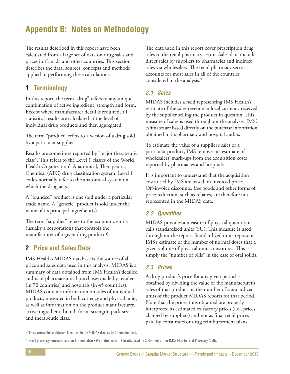# **Appendix B: Notes on Methodology**

The results described in this report have been calculated from a large set of data on drug sales and prices in Canada and other countries. This section describes the data, sources, concepts and methods applied in performing these calculations.

### **1 Terminology**

In this report, the term "drug" refers to any unique combination of active ingredient, strength and form. Except where manufacturer detail is required, all statistical results are calculated at the level of individual drug products and then aggregated.

The term "product" refers to a version of a drug sold by a particular supplier.

Results are sometimes reported by "major therapeutic class". This refers to the Level 1 classes of the World Health Organization's Anatomical, Therapeutic, Chemical (ATC) drug classification system. Level 1 codes normally refer to the anatomical system on which the drug acts.

A "branded" product is one sold under a particular trade name. A "generic" product is sold under the name of its principal ingredient(s).

The term "supplier" refers to the economic entity (usually a corporation) that controls the manufacturer of a given drug product.6

### **2 Price and Sales Data**

IMS Health's MIDAS database is the source of all price and sales data used in this analysis. MIDAS is a summary of data obtained from IMS Health's detailed audits of pharmaceutical purchases made by retailers (in 70 countries) and hospitals (in 45 countries). MIDAS contains information on sales of individual products, measured in both currency and physical units, as well as information on the product manufacturer, active ingredient, brand, form, strength, pack size and therapeutic class.

The data used in this report cover prescription drug sales to the retail pharmacy sector. Sales data include direct sales by suppliers to pharmacies and indirect sales via wholesalers. The retail pharmacy sector accounts for most sales in all of the countries considered in the analysis.7

### **2.1 Sales**

MIDAS includes a field representing IMS Health's estimate of the sales revenue in local currency received by the supplier selling the product in question. This measure of sales is used throughout the analysis. IMS's estimates are based directly on the purchase information obtained in its pharmacy and hospital audits.

To estimate the value of a supplier's sales of a particular product, IMS removes its estimate of wholesalers' mark-ups from the acquisition costs reported by pharmacies and hospitals.

It is important to understand that the acquisition costs used by IMS are based on invoiced prices. Off-invoice discounts, free goods and other forms of price reduction, such as rebates, are therefore not represented in the MIDAS data.

### **2.2 Quantities**

MIDAS provides a measure of physical quantity it calls standardized units (SU). This measure is used throughout the report. Standardized units represent IMS's estimate of the number of normal doses that a given volume of physical units constitutes. This is simply the "number of pills" in the case of oral solids.

### **2.3 Prices**

A drug product's price for any given period is obtained by dividing the value of the manufacturer's sales of that product by the number of standardized units of the product MIDAS reports for that period. Note that the prices thus obtained are properly interpreted as estimated ex-factory prices (i.e., prices charged by suppliers) and not as final retail prices paid by consumers or drug reimbursement plans.

6 These controlling entities are identified in the MIDAS database's Corporation field.

<sup>7</sup> Retail pharmacy purchases account for more than 85% of drug sales in Canada, based on 2004 results from IMS's Hospital and Pharmacy Audit.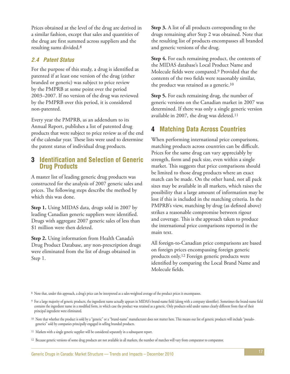Prices obtained at the level of the drug are derived in a similar fashion, except that sales and quantities of the drug are first summed across suppliers and the resulting sums divided.8

### **2.4 Patent Status**

For the purpose of this study, a drug is identified as patented if at least one version of the drug (either branded or generic) was subject to price review by the PMPRB at some point over the period 2003–2007. If no version of the drug was reviewed by the PMPRB over this period, it is considered non-patented.

Every year the PMPRB, as an addendum to its Annual Report, publishes a list of patented drug products that were subject to price review as of the end of the calendar year. These lists were used to determine the patent status of individual drug products.

### **3 Identification and Selection of Generic Drug Products**

A master list of leading generic drug products was constructed for the analysis of 2007 generic sales and prices. The following steps describe the method by which this was done.

**Step 1.** Using MIDAS data, drugs sold in 2007 by leading Canadian generic suppliers were identified. Drugs with aggregate 2007 generic sales of less than \$1 million were then deleted.

**Step 2.** Using information from Health Canada's Drug Product Database, any non-prescription drugs were eliminated from the list of drugs obtained in Step 1.

**Step 3.** A list of all products corresponding to the drugs remaining after Step 2 was obtained. Note that the resulting list of products encompasses all branded and generic versions of the drug.

**Step 4.** For each remaining product, the contents of the MIDAS database's Local Product Name and Molecule fields were compared.9 Provided that the contents of the two fields were reasonably similar, the product was retained as a generic.10

**Step 5.** For each remaining drug, the number of generic versions on the Canadian market in 2007 was determined. If there was only a single generic version available in 2007, the drug was deleted.11

### **4 Matching Data Across Countries**

When performing international price comparisons, matching products across countries can be difficult. Prices for the same drug can vary appreciably by strength, form and pack size, even within a single market. This suggests that price comparisons should be limited to those drug products where an exact match can be made. On the other hand, not all pack sizes may be available in all markets, which raises the possibility that a large amount of information may be lost if this is included in the matching criteria. In the PMPRB's view, matching by drug (as defined above) strikes a reasonable compromise between rigour and coverage. This is the approach taken to produce the international price comparisons reported in the main text.

All foreign-to-Canadian price comparisons are based on foreign prices encompassing foreign generic products only.12 Foreign generic products were identified by comparing the Local Brand Name and Molecule fields.

8 Note that, under this approach, a drug's price can be interpreted as a sales-weighted average of the product prices it encompasses.

<sup>9</sup> For a large majority of generic products, the ingredient name actually appears in MIDAS's brand-name field (along with a company identifier). Sometimes the brand-name field contains the ingredient name in a modified form, in which case the product was retained as a generic. Only products sold under names clearly different from that of their principal ingredient were eliminated.

<sup>&</sup>lt;sup>10</sup> Note that whether the product is sold by a "generic" or a "brand-name" manufacturer does not matter here. This means our list of generic products will include "pseudogenerics" sold by companies principally engaged in selling branded products.

<sup>11</sup> Markets with a single generic supplier will be considered separately in a subsequent report.

<sup>12</sup> Because generic versions of some drug products are not available in all markets, the number of matches will vary from comparator to comparator.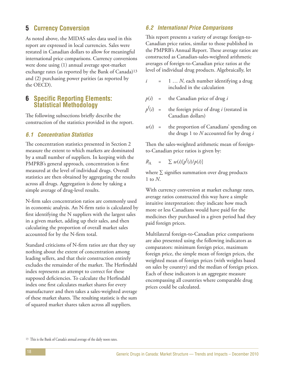### **5 Currency Conversion**

As noted above, the MIDAS sales data used in this report are expressed in local currencies. Sales were restated in Canadian dollars to allow for meaningful international price comparisons. Currency conversions were done using (1) annual average spot-market exchange rates (as reported by the Bank of Canada)13 and (2) purchasing power parities (as reported by the OECD).

### **6 Specific Reporting Elements: Statistical Methodology**

The following subsections briefly describe the construction of the statistics provided in the report.

### **6.1 Concentration Statistics**

The concentration statistics presented in Section 2 measure the extent to which markets are dominated by a small number of suppliers. In keeping with the PMPRB's general approach, concentration is first measured at the level of individual drugs. Overall statistics are then obtained by aggregating the results across all drugs. Aggregation is done by taking a simple average of drug-level results.

N-firm sales concentration ratios are commonly used in economic analysis. An N-firm ratio is calculated by first identifying the N suppliers with the largest sales in a given market, adding up their sales, and then calculating the proportion of overall market sales accounted for by the N-firm total.

Standard criticisms of N-firm ratios are that they say nothing about the extent of concentration among leading sellers, and that their construction entirely excludes the remainder of the market. The Herfindahl index represents an attempt to correct for these supposed deficiencies. To calculate the Herfindahl index one first calculates market shares for every manufacturer and then takes a sales-weighted average of these market shares. The resulting statistic is the sum of squared market shares taken across all suppliers.

#### **6.2 International Price Comparisons**

This report presents a variety of average foreign-to-Canadian price ratios, similar to those published in the PMPRB's Annual Report. These average ratios are constructed as Canadian-sales-weighted arithmetic averages of foreign-to-Canadian price ratios at the level of individual drug products. Algebraically, let

- $i = 1 ... N$ , each number identifying a drug included in the calculation
- $p(i)$  = the Canadian price of drug *i*
- $p^f(i) =$ the foreign price of drug *i* (restated in Canadian dollars)
- $w(i)$  = the proportion of Canadians' spending on the drugs 1 to *N* accounted for by drug *i*

Then the sales-weighted arithmetic mean of foreignto-Canadian price ratios is given by:

$$
R_{\rm A} = \sum w(i) [p^{\rm f}(i)/p(i)]
$$

where  $\Sigma$  signifies summation over drug products 1 to *N*.

With currency conversion at market exchange rates, average ratios constructed this way have a simple intuitive interpretation: they indicate how much more or less Canadians would have paid for the medicines they purchased in a given period had they paid foreign prices.

Multilateral foreign-to-Canadian price comparisons are also presented using the following indicators as comparators: minimum foreign price, maximum foreign price, the simple mean of foreign prices, the weighted mean of foreign prices (with weights based on sales by country) and the median of foreign prices. Each of these indicators is an aggregate measure encompassing all countries where comparable drug prices could be calculated.

<sup>13</sup> This is the Bank of Canada's annual average of the daily noon rates.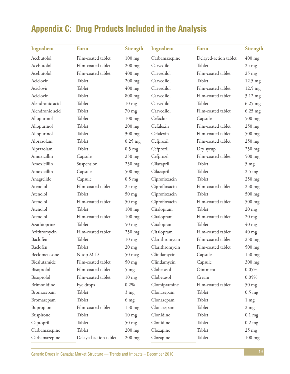# **Appendix C: Drug Products Included in the Analysis**

| Ingredient      | Form                  | <b>Strength</b>  | Ingredient     | Form                  | <b>Strength</b>   |
|-----------------|-----------------------|------------------|----------------|-----------------------|-------------------|
| Acebutolol      | Film-coated tablet    | $100$ mg         | Carbamazepine  | Delayed-action tablet | $400$ mg          |
| Acebutolol      | Film-coated tablet    | $200$ mg         | Carvedilol     | Tablet                | $25$ mg           |
| Acebutolol      | Film-coated tablet    | $400$ mg         | Carvedilol     | Film-coated tablet    | $25$ mg           |
| Aciclovir       | Tablet                | $200$ mg         | Carvedilol     | Tablet                | $12.5 \text{ mg}$ |
| Aciclovir       | Tablet                | $400$ mg         | Carvedilol     | Film-coated tablet    | 12.5 mg           |
| Aciclovir       | Tablet                | 800 mg           | Carvedilol     | Film-coated tablet    | 3.12 mg           |
| Alendronic acid | Tablet                | $10 \text{ mg}$  | Carvedilol     | Tablet                | $6.25$ mg         |
| Alendronic acid | Tablet                | $70$ mg          | Carvedilol     | Film-coated tablet    | $6.25$ mg         |
| Allopurinol     | Tablet                | $100$ mg         | Cefaclor       | Capsule               | $500$ mg          |
| Allopurinol     | Tablet                | $200$ mg         | Cefalexin      | Film-coated tablet    | $250$ mg          |
| Allopurinol     | Tablet                | 300 mg           | Cefalexin      | Film-coated tablet    | 500 mg            |
| Alprazolam      | Tablet                | $0.25$ mg        | Cefprozil      | Film-coated tablet    | $250$ mg          |
| Alprazolam      | Tablet                | $0.5$ mg         | Cefprozil      | Dry syrup             | $250$ mg          |
| Amoxicillin     | Capsule               | 250 mg           | Cefprozil      | Film-coated tablet    | 500 mg            |
| Amoxicillin     | Suspension            | 250 mg           | Cilazapril     | Tablet                | $5 \text{ mg}$    |
| Amoxicillin     | Capsule               | $500$ mg         | Cilazapril     | Tablet                | $2.5 \text{ mg}$  |
| Anagrelide      | Capsule               | $0.5$ mg         | Ciprofloxacin  | Tablet                | $250$ mg          |
| Atenolol        | Film-coated tablet    | $25 \text{ mg}$  | Ciprofloxacin  | Film-coated tablet    | $250$ mg          |
| Atenolol        | Tablet                | $50$ mg          | Ciprofloxacin  | Tablet                | $500$ mg          |
| Atenolol        | Film-coated tablet    | $50$ mg          | Ciprofloxacin  | Film-coated tablet    | 500 mg            |
| Atenolol        | Tablet                | $100$ mg         | Citalopram     | Tablet                | $20$ mg           |
| Atenolol        | Film-coated tablet    | $100$ mg         | Citalopram     | Film-coated tablet    | $20 \text{ mg}$   |
| Azathioprine    | Tablet                | $50$ mg          | Citalopram     | Tablet                | $40$ mg           |
| Azithromycin    | Film-coated tablet    | 250 mg           | Citalopram     | Film-coated tablet    | $40$ mg           |
| Baclofen        | Tablet                | $10$ mg          | Clarithromycin | Film-coated tablet    | 250 mg            |
| Baclofen        | Tablet                | $20$ mg          | Clarithromycin | Film-coated tablet    | $500$ mg          |
| Beclometasone   | N.top M-D             | $50 \text{ mcg}$ | Clindamycin    | Capsule               | $150 \text{ mg}$  |
| Bicalutamide    | Film-coated tablet    | $50$ mg          | Clindamycin    | Capsule               | 300 mg            |
| Bisoprolol      | Film-coated tablet    | $5$ mg           | Clobetasol     | Ointment              | 0.05%             |
| Bisoprolol      | Film-coated tablet    | $10$ mg          | Clobetasol     | Cream                 | 0.05%             |
| Brimonidine     | Eye drops             | 0.2%             | Clomipramine   | Film-coated tablet    | $50$ mg           |
| Bromazepam      | Tablet                | $3 \text{ mg}$   | Clonazepam     | Tablet                | $0.5$ mg          |
| Bromazepam      | Tablet                | 6 <sub>mg</sub>  | Clonazepam     | Tablet                | $1 \text{ mg}$    |
| Bupropion       | Film-coated tablet    | 150 mg           | Clonazepam     | Tablet                | $2 \text{ mg}$    |
| Buspirone       | Tablet                | $10$ mg          | Clonidine      | Tablet                | $0.1$ mg          |
| Captopril       | Tablet                | $50$ mg          | Clonidine      | Tablet                | $0.2$ mg          |
| Carbamazepine   | Tablet                | $200$ mg         | Clozapine      | Tablet                | $25 \text{ mg}$   |
| Carbamazepine   | Delayed-action tablet | 200 mg           | Clozapine      | Tablet                | 100 mg            |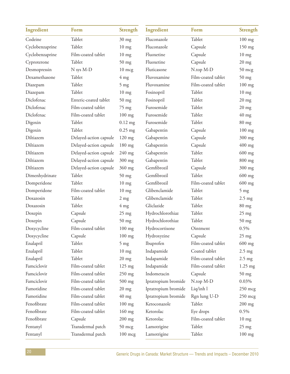| Ingredient      | Form                   | <b>Strength</b>  | Ingredient          | Form               | <b>Strength</b>  |
|-----------------|------------------------|------------------|---------------------|--------------------|------------------|
| Codeine         | Tablet                 | $30$ mg          | Fluconazole         | Tablet             | $100$ mg         |
| Cyclobenzaprine | Tablet                 | $10$ mg          | Fluconazole         | Capsule            | 150 mg           |
| Cyclobenzaprine | Film-coated tablet     | $10$ mg          | Fluoxetine          | Capsule            | $10 \text{ mg}$  |
| Cyproterone     | Tablet                 | $50$ mg          | Fluoxetine          | Capsule            | $20$ mg          |
| Desmopressin    | N sys M-D              | 10 mcg           | Fluticasone         | N.top M-D          | $50 \text{ mcg}$ |
| Dexamethasone   | Tablet                 | $4 \text{ mg}$   | Fluvoxamine         | Film-coated tablet | $50$ mg          |
| Diazepam        | Tablet                 | $5 \text{ mg}$   | Fluvoxamine         | Film-coated tablet | $100$ mg         |
| Diazepam        | Tablet                 | $10$ mg          | Fosinopril          | Tablet             | $10 \text{ mg}$  |
| Diclofenac      | Enteric-coated tablet  | $50$ mg          | Fosinopril          | Tablet             | $20 \text{ mg}$  |
| Diclofenac      | Film-coated tablet     | 75 mg            | Furosemide          | Tablet             | $20$ mg          |
| Diclofenac      | Film-coated tablet     | 100 mg           | Furosemide          | Tablet             | $40 \text{ mg}$  |
| Digoxin         | Tablet                 | $0.12$ mg        | Furosemide          | Tablet             | $80$ mg          |
| Digoxin         | Tablet                 | $0.25$ mg        | Gabapentin          | Capsule            | 100 mg           |
| Diltiazem       | Delayed-action capsule | 120 mg           | Gabapentin          | Capsule            | 300 mg           |
| Diltiazem       | Delayed-action capsule | 180 mg           | Gabapentin          | Capsule            | $400$ mg         |
| Diltiazem       | Delayed-action capsule | $240$ mg         | Gabapentin          | Tablet             | $600$ mg         |
| Diltiazem       | Delayed-action capsule | 300 mg           | Gabapentin          | Tablet             | $800$ mg         |
| Diltiazem       | Delayed-action capsule | 360 mg           | Gemfibrozil         | Capsule            | 300 mg           |
| Dimenhydrinate  | Tablet                 | $50$ mg          | Gemfibrozil         | Tablet             | $600$ mg         |
| Domperidone     | Tablet                 | $10$ mg          | Gemfibrozil         | Film-coated tablet | $600$ mg         |
| Domperidone     | Film-coated tablet     | $10$ mg          | Glibenclamide       | Tablet             | $5 \text{ mg}$   |
| Doxazosin       | Tablet                 | $2$ mg           | Glibenclamide       | Tablet             | $2.5 \text{ mg}$ |
| Doxazosin       | Tablet                 | $4 \text{ mg}$   | Gliclazide          | Tablet             | $80$ mg          |
| Doxepin         | Capsule                | $25 \text{ mg}$  | Hydrochlorothiaz    | Tablet             | $25 \text{ mg}$  |
| Doxepin         | Capsule                | $50$ mg          | Hydrochlorothiaz    | Tablet             | $50$ mg          |
| Doxycycline     | Film-coated tablet     | $100$ mg         | Hydrocortisone      | Ointment           | 0.5%             |
| Doxycycline     | Capsule                | $100$ mg         | Hydroxyzine         | Capsule            | $25$ mg          |
| Enalapril       | Tablet                 | $5 \text{ mg}$   | Ibuprofen           | Film-coated tablet | $600$ mg         |
| Enalapril       | Tablet                 | $10$ mg          | Indapamide          | Coated tablet      | $2.5$ mg         |
| Enalapril       | Tablet                 | $20 \text{ mg}$  | Indapamide          | Film-coated tablet | $2.5 \text{ mg}$ |
| Famciclovir     | Film-coated tablet     | 125 mg           | Indapamide          | Film-coated tablet | $1.25$ mg        |
| Famciclovir     | Film-coated tablet     | 250 mg           | Indometacin         | Capsule            | $50$ mg          |
| Famciclovir     | Film-coated tablet     | 500 mg           | Ipratropium bromide | N.top M-D          | 0.03%            |
| Famotidine      | Film-coated tablet     | $20$ mg          | Ipratropium bromide | Liq/inh l          | $250$ mcg        |
| Famotidine      | Film-coated tablet     | $40 \text{ mg}$  | Ipratropium bromide | Rgn lung U-D       | $250$ mcg        |
| Fenofibrate     | Film-coated tablet     | $100$ mg         | Ketoconazole        | Tablet             | $200$ mg         |
| Fenofibrate     | Film-coated tablet     | 160 mg           | Ketorolac           | Eye drops          | 0.5%             |
| Fenofibrate     | Capsule                | $200$ mg         | Ketorolac           | Film-coated tablet | $10 \text{ mg}$  |
| Fentanyl        | Transdermal patch      | $50 \text{ mcg}$ | Lamotrigine         | Tablet             | $25 \text{ mg}$  |
| Fentanyl        | Transdermal patch      | 100 mcg          | Lamotrigine         | Tablet             | 100 mg           |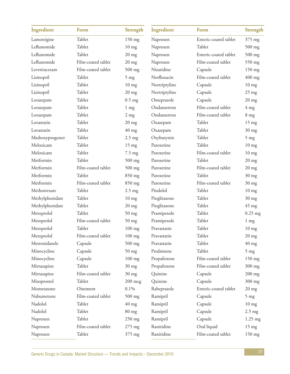| Ingredient       | Form               | <b>Strength</b>  | Ingredient    | Form                  | <b>Strength</b>  |
|------------------|--------------------|------------------|---------------|-----------------------|------------------|
| Lamotrigine      | Tablet             | $150$ mg         | Naproxen      | Enteric-coated tablet | 375 mg           |
| Leflunomide      | Tablet             | $10$ mg          | Naproxen      | Tablet                | 500 mg           |
| Leflunomide      | Tablet             | $20$ mg          | Naproxen      | Enteric-coated tablet | $500$ mg         |
| Leflunomide      | Film-coated tablet | $20$ mg          | Naproxen      | Film-coated tablet    | 550 mg           |
| Levetiracetam    | Film-coated tablet | 500 mg           | Nizatidine    | Capsule               | 150 mg           |
| Lisinopril       | Tablet             | $5 \text{ mg}$   | Norfloxacin   | Film-coated tablet    | $400$ mg         |
| Lisinopril       | Tablet             | $10 \text{ mg}$  | Nortriptyline | Capsule               | $10 \text{ mg}$  |
| Lisinopril       | Tablet             | $20$ mg          | Nortriptyline | Capsule               | $25 \text{ mg}$  |
| Lorazepam        | Tablet             | $0.5$ mg         | Omeprazole    | Capsule               | $20 \text{ mg}$  |
| Lorazepam        | Tablet             | $1 \text{ mg}$   | Ondansetron   | Film-coated tablet    | $4 \text{ mg}$   |
| Lorazepam        | Tablet             | $2$ mg           | Ondansetron   | Film-coated tablet    | 8 <sub>mg</sub>  |
| Lovastatin       | Tablet             | $20 \text{ mg}$  | Oxazepam      | Tablet                | $15 \text{ mg}$  |
| Lovastatin       | Tablet             | $40$ mg          | Oxazepam      | Tablet                | $30$ mg          |
| Medroxyprogester | Tablet             | $2.5$ mg         | Oxybutynin    | Tablet                | $5$ mg           |
| Meloxicam        | Tablet             | $15 \text{ mg}$  | Paroxetine    | Tablet                | $10$ mg          |
| Meloxicam        | Tablet             | $7.5 \text{ mg}$ | Paroxetine    | Film-coated tablet    | $10 \text{ mg}$  |
| Metformin        | Tablet             | 500 mg           | Paroxetine    | Tablet                | $20$ mg          |
| Metformin        | Film-coated tablet | $500$ mg         | Paroxetine    | Film-coated tablet    | $20$ mg          |
| Metformin        | Tablet             | 850 mg           | Paroxetine    | Tablet                | $30$ mg          |
| Metformin        | Film-coated tablet | 850 mg           | Paroxetine    | Film-coated tablet    | $30$ mg          |
| Methotrexate     | Tablet             | $2.5$ mg         | Pindolol      | Tablet                | $10 \text{ mg}$  |
| Methylphenidate  | Tablet             | $10$ mg          | Pioglitazone  | Tablet                | $30$ mg          |
| Methylphenidate  | Tablet             | $20$ mg          | Pioglitazone  | Tablet                | $45 \text{ mg}$  |
| Metoprolol       | Tablet             | $50$ mg          | Pramipexole   | Tablet                | $0.25$ mg        |
| Metoprolol       | Film-coated tablet | $50$ mg          | Pramipexole   | Tablet                | $1 \text{ mg}$   |
| Metoprolol       | Tablet             | 100 mg           | Pravastatin   | Tablet                | $10$ mg          |
| Metoprolol       | Film-coated tablet | $100$ mg         | Pravastatin   | Tablet                | $20$ mg          |
| Metronidazole    | Capsule            | $500$ mg         | Pravastatin   | Tablet                | $40$ mg          |
| Minocycline      | Capsule            | $50$ mg          | Prednisone    | Tablet                | $5 \text{ mg}$   |
| Minocycline      | Capsule            | $100$ mg         | Propafenone   | Film-coated tablet    | 150 mg           |
| Mirtazapine      | Tablet             | $30$ mg          | Propafenone   | Film-coated tablet    | 300 mg           |
| Mirtazapine      | Film-coated tablet | $30$ mg          | Quinine       | Capsule               | $200$ mg         |
| Misoprostol      | Tablet             | $200$ mcg        | Quinine       | Capsule               | 300 mg           |
| Mometasone       | Ointment           | 0.1%             | Rabeprazole   | Enteric-coated tablet | $20$ mg          |
| Nabumetone       | Film-coated tablet | $500$ mg         | Ramipril      | Capsule               | $5 \text{ mg}$   |
| Nadolol          | Tablet             | $40$ mg          | Ramipril      | Capsule               | $10 \text{ mg}$  |
| Nadolol          | Tablet             | $80$ mg          | Ramipril      | Capsule               | $2.5 \text{ mg}$ |
| Naproxen         | Tablet             | 250 mg           | Ramipril      | Capsule               | $1.25$ mg        |
| Naproxen         | Film-coated tablet | 275 mg           | Ranitidine    | Oral liquid           | $15 \text{ mg}$  |
| Naproxen         | Tablet             | 375 mg           | Ranitidine    | Film-coated tablet    | $150$ mg         |